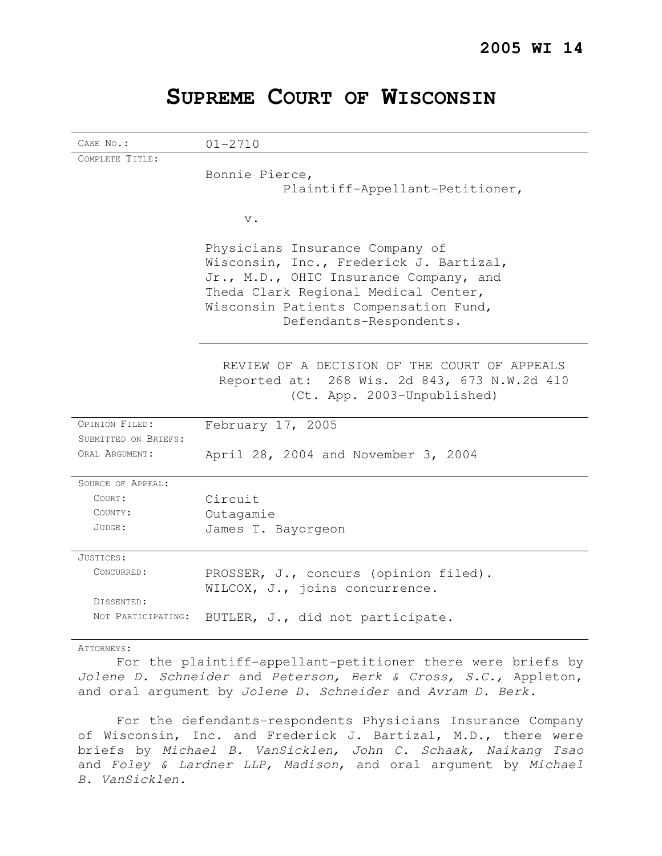|  |  |  | SUPREME COURT OF WISCONSIN |
|--|--|--|----------------------------|
|--|--|--|----------------------------|

CASE No.: 01-2710 COMPLETE TITLE: Bonnie Pierce, Plaintiff-Appellant-Petitioner, v. Physicians Insurance Company of Wisconsin, Inc., Frederick J. Bartizal, Jr., M.D., OHIC Insurance Company, and Theda Clark Regional Medical Center, Wisconsin Patients Compensation Fund, Defendants-Respondents. REVIEW OF A DECISION OF THE COURT OF APPEALS Reported at: 268 Wis. 2d 843, 673 N.W.2d 410 (Ct. App. 2003-Unpublished) OPINION FILED: February 17, 2005 SUBMITTED ON BRIEFS: ORAL ARGUMENT: April 28, 2004 and November 3, 2004 SOURCE OF APPEAL: COURT: Circuit COUNTY: Outagamie JUDGE: James T. Bayorgeon JUSTICES: CONCURRED: PROSSER, J., concurs (opinion filed). WILCOX, J., joins concurrence. DISSENTED: NOT PARTICIPATING: BUTLER, J., did not participate.

ATTORNEYS:

For the plaintiff-appellant-petitioner there were briefs by Jolene D. Schneider and Peterson, Berk & Cross, S.C., Appleton, and oral argument by Jolene D. Schneider and Avram D. Berk.

For the defendants-respondents Physicians Insurance Company of Wisconsin, Inc. and Frederick J. Bartizal, M.D., there were briefs by Michael B. VanSicklen, John C. Schaak, Naikang Tsao and Foley & Lardner LLP, Madison, and oral argument by Michael B. VanSicklen.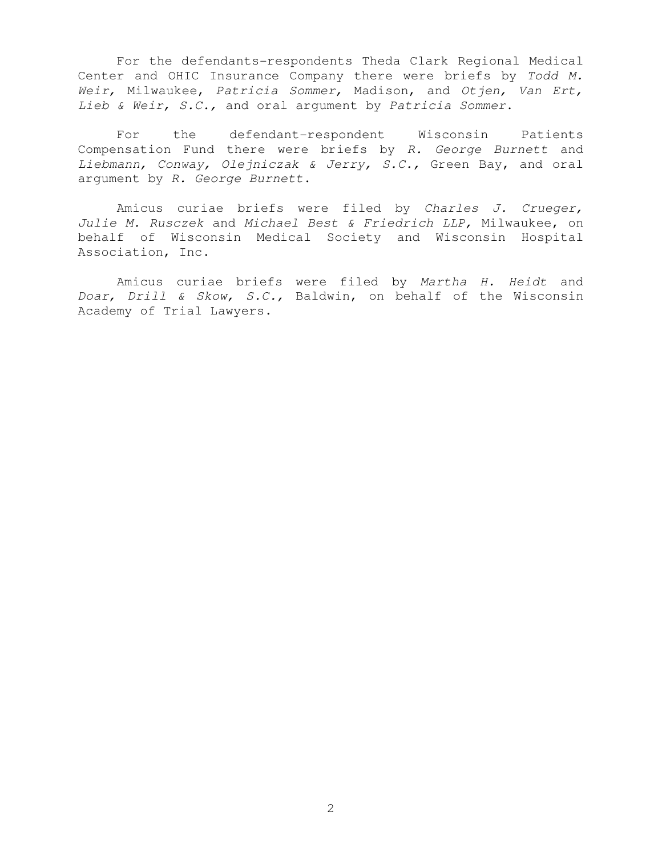For the defendants-respondents Theda Clark Regional Medical Center and OHIC Insurance Company there were briefs by Todd M. Weir, Milwaukee, Patricia Sommer, Madison, and Otjen, Van Ert, Lieb & Weir, S.C., and oral argument by Patricia Sommer.

For the defendant-respondent Wisconsin Patients Compensation Fund there were briefs by R. George Burnett and Liebmann, Conway, Olejniczak & Jerry, S.C., Green Bay, and oral argument by R. George Burnett.

 Amicus curiae briefs were filed by Charles J. Crueger, Julie M. Rusczek and Michael Best & Friedrich LLP, Milwaukee, on behalf of Wisconsin Medical Society and Wisconsin Hospital Association, Inc.

 Amicus curiae briefs were filed by Martha H. Heidt and Doar, Drill & Skow, S.C., Baldwin, on behalf of the Wisconsin Academy of Trial Lawyers.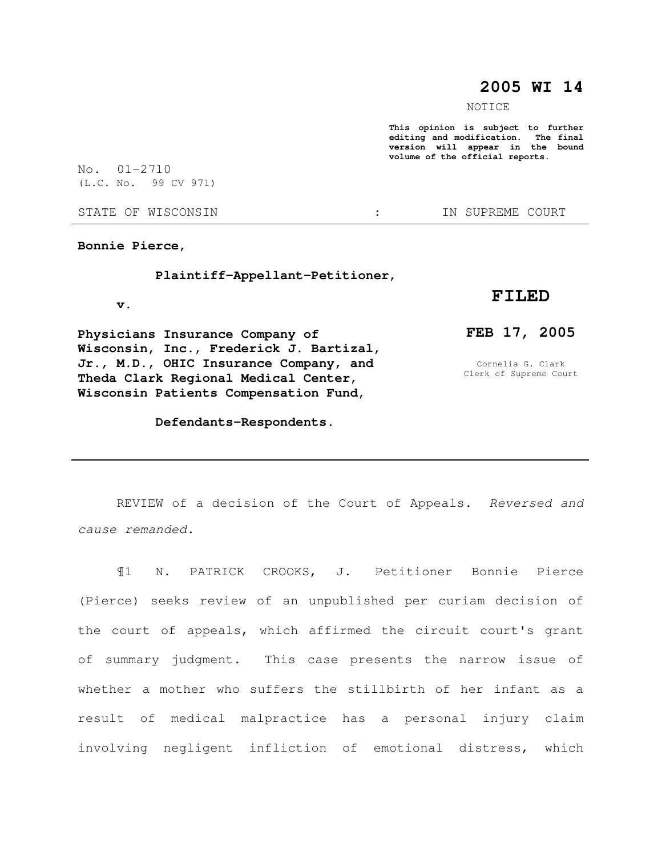# **2005 WI 14**

NOTICE

**This opinion is subject to further editing and modification. The final version will appear in the bound volume of the official reports.** 

No. 01-2710 (L.C. No. 99 CV 971)

STATE OF WISCONSIN  $\cdot$   $\cdot$  in Supreme court

**Bonnie Pierce,** 

 **Plaintiff-Appellant-Petitioner,** 

 **v.** 

**Physicians Insurance Company of Wisconsin, Inc., Frederick J. Bartizal, Jr., M.D., OHIC Insurance Company, and Theda Clark Regional Medical Center, Wisconsin Patients Compensation Fund,** 

### **Defendants-Respondents.**

## **FILED**

## **FEB 17, 2005**

Cornelia G. Clark Clerk of Supreme Court

REVIEW of a decision of the Court of Appeals. Reversed and cause remanded.

¶1 N. PATRICK CROOKS, J. Petitioner Bonnie Pierce (Pierce) seeks review of an unpublished per curiam decision of the court of appeals, which affirmed the circuit court's grant of summary judgment. This case presents the narrow issue of whether a mother who suffers the stillbirth of her infant as a result of medical malpractice has a personal injury claim involving negligent infliction of emotional distress, which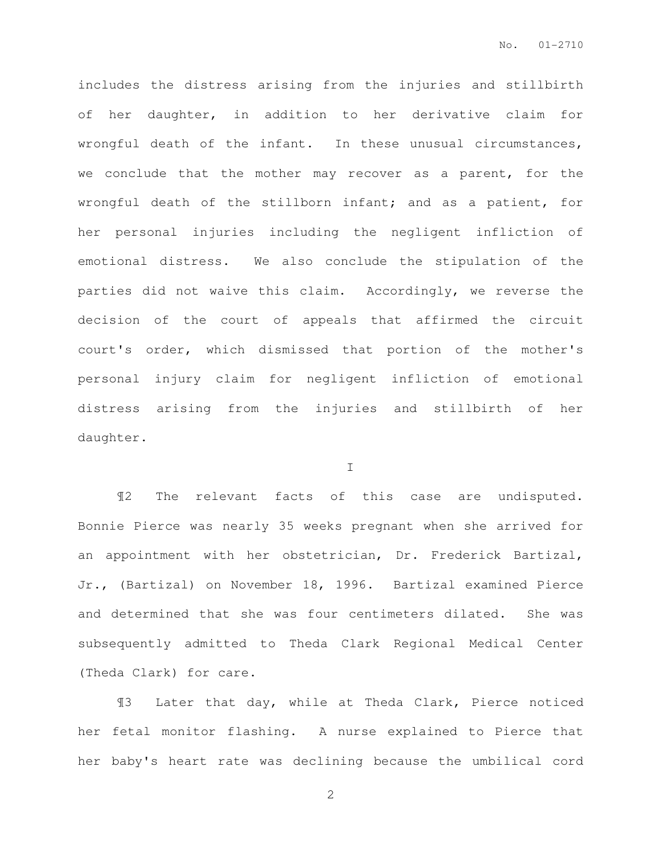includes the distress arising from the injuries and stillbirth of her daughter, in addition to her derivative claim for wrongful death of the infant. In these unusual circumstances, we conclude that the mother may recover as a parent, for the wrongful death of the stillborn infant; and as a patient, for her personal injuries including the negligent infliction of emotional distress. We also conclude the stipulation of the parties did not waive this claim. Accordingly, we reverse the decision of the court of appeals that affirmed the circuit court's order, which dismissed that portion of the mother's personal injury claim for negligent infliction of emotional distress arising from the injuries and stillbirth of her daughter.

I

¶2 The relevant facts of this case are undisputed. Bonnie Pierce was nearly 35 weeks pregnant when she arrived for an appointment with her obstetrician, Dr. Frederick Bartizal, Jr., (Bartizal) on November 18, 1996. Bartizal examined Pierce and determined that she was four centimeters dilated. She was subsequently admitted to Theda Clark Regional Medical Center (Theda Clark) for care.

¶3 Later that day, while at Theda Clark, Pierce noticed her fetal monitor flashing. A nurse explained to Pierce that her baby's heart rate was declining because the umbilical cord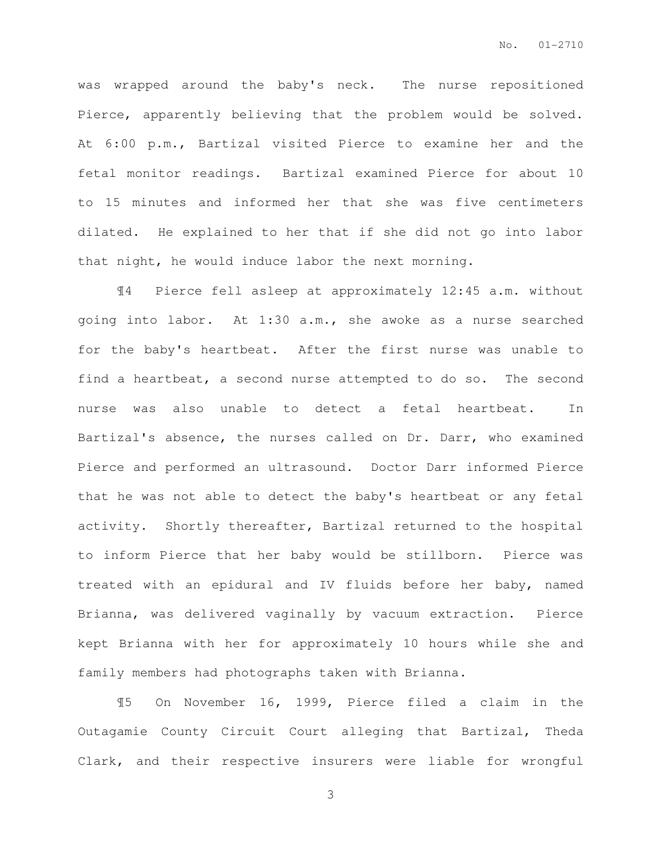was wrapped around the baby's neck. The nurse repositioned Pierce, apparently believing that the problem would be solved. At 6:00 p.m., Bartizal visited Pierce to examine her and the fetal monitor readings. Bartizal examined Pierce for about 10 to 15 minutes and informed her that she was five centimeters dilated. He explained to her that if she did not go into labor that night, he would induce labor the next morning.

¶4 Pierce fell asleep at approximately 12:45 a.m. without going into labor. At 1:30 a.m., she awoke as a nurse searched for the baby's heartbeat. After the first nurse was unable to find a heartbeat, a second nurse attempted to do so. The second nurse was also unable to detect a fetal heartbeat. In Bartizal's absence, the nurses called on Dr. Darr, who examined Pierce and performed an ultrasound. Doctor Darr informed Pierce that he was not able to detect the baby's heartbeat or any fetal activity. Shortly thereafter, Bartizal returned to the hospital to inform Pierce that her baby would be stillborn. Pierce was treated with an epidural and IV fluids before her baby, named Brianna, was delivered vaginally by vacuum extraction. Pierce kept Brianna with her for approximately 10 hours while she and family members had photographs taken with Brianna.

¶5 On November 16, 1999, Pierce filed a claim in the Outagamie County Circuit Court alleging that Bartizal, Theda Clark, and their respective insurers were liable for wrongful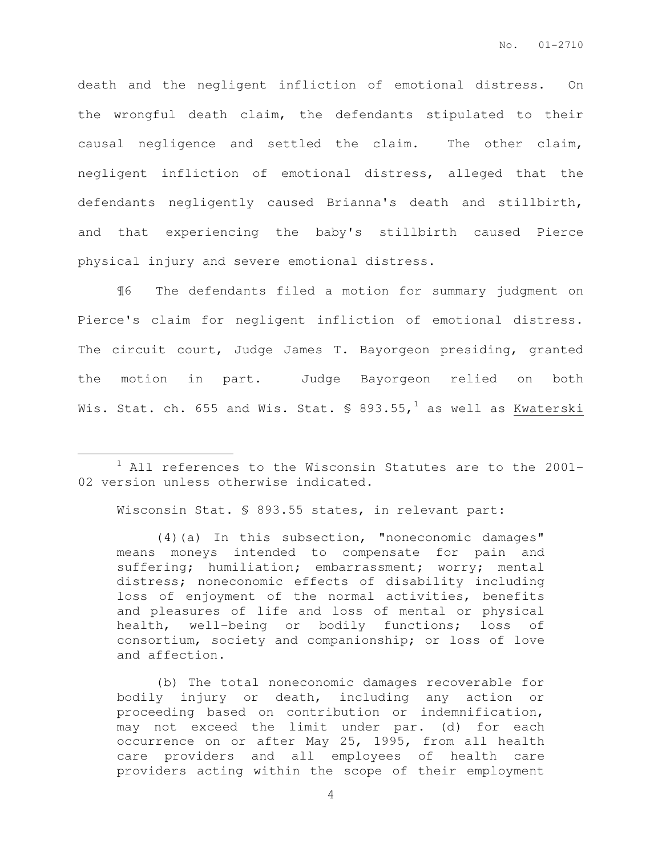death and the negligent infliction of emotional distress. On the wrongful death claim, the defendants stipulated to their causal negligence and settled the claim. The other claim, negligent infliction of emotional distress, alleged that the defendants negligently caused Brianna's death and stillbirth, and that experiencing the baby's stillbirth caused Pierce physical injury and severe emotional distress.

¶6 The defendants filed a motion for summary judgment on Pierce's claim for negligent infliction of emotional distress. The circuit court, Judge James T. Bayorgeon presiding, granted the motion in part. Judge Bayorgeon relied on both Wis. Stat. ch. 655 and Wis. Stat.  $\frac{1}{2}$  893.55,<sup>1</sup> as well as Kwaterski

Wisconsin Stat. § 893.55 states, in relevant part:

 $\overline{a}$ 

(4)(a) In this subsection, "noneconomic damages" means moneys intended to compensate for pain and suffering; humiliation; embarrassment; worry; mental distress; noneconomic effects of disability including loss of enjoyment of the normal activities, benefits and pleasures of life and loss of mental or physical health, well-being or bodily functions; loss of consortium, society and companionship; or loss of love and affection.

(b) The total noneconomic damages recoverable for bodily injury or death, including any action or proceeding based on contribution or indemnification, may not exceed the limit under par. (d) for each occurrence on or after May 25, 1995, from all health care providers and all employees of health care providers acting within the scope of their employment

 $1$  All references to the Wisconsin Statutes are to the 2001-02 version unless otherwise indicated.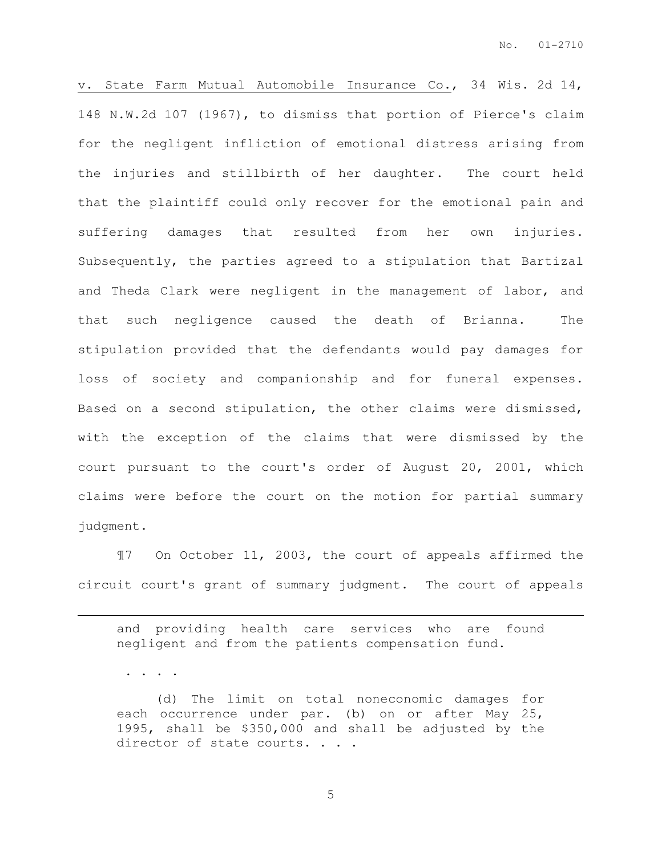v. State Farm Mutual Automobile Insurance Co., 34 Wis. 2d 14, 148 N.W.2d 107 (1967), to dismiss that portion of Pierce's claim for the negligent infliction of emotional distress arising from the injuries and stillbirth of her daughter. The court held that the plaintiff could only recover for the emotional pain and suffering damages that resulted from her own injuries. Subsequently, the parties agreed to a stipulation that Bartizal and Theda Clark were negligent in the management of labor, and that such negligence caused the death of Brianna. The stipulation provided that the defendants would pay damages for loss of society and companionship and for funeral expenses. Based on a second stipulation, the other claims were dismissed, with the exception of the claims that were dismissed by the court pursuant to the court's order of August 20, 2001, which claims were before the court on the motion for partial summary judgment.

¶7 On October 11, 2003, the court of appeals affirmed the circuit court's grant of summary judgment. The court of appeals

and providing health care services who are found negligent and from the patients compensation fund.

. . . .

 $\overline{a}$ 

(d) The limit on total noneconomic damages for each occurrence under par. (b) on or after May 25, 1995, shall be \$350,000 and shall be adjusted by the director of state courts. . . .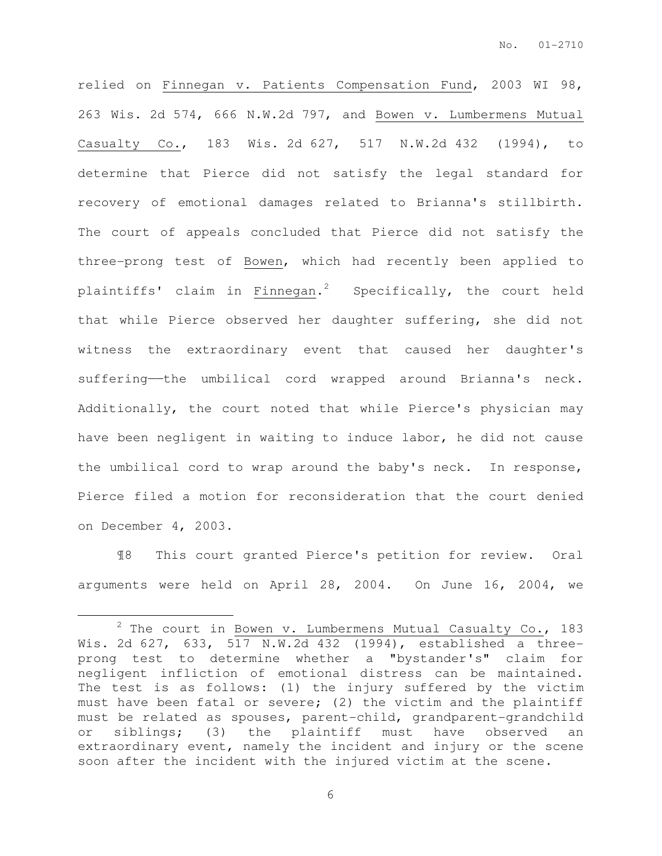relied on Finnegan v. Patients Compensation Fund, 2003 WI 98, 263 Wis. 2d 574, 666 N.W.2d 797, and Bowen v. Lumbermens Mutual Casualty Co., 183 Wis. 2d 627, 517 N.W.2d 432 (1994), to determine that Pierce did not satisfy the legal standard for recovery of emotional damages related to Brianna's stillbirth. The court of appeals concluded that Pierce did not satisfy the three-prong test of Bowen, which had recently been applied to plaintiffs' claim in Finnegan.<sup>2</sup> Specifically, the court held that while Pierce observed her daughter suffering, she did not witness the extraordinary event that caused her daughter's suffering—the umbilical cord wrapped around Brianna's neck. Additionally, the court noted that while Pierce's physician may have been negligent in waiting to induce labor, he did not cause the umbilical cord to wrap around the baby's neck. In response, Pierce filed a motion for reconsideration that the court denied on December 4, 2003.

¶8 This court granted Pierce's petition for review. Oral arguments were held on April 28, 2004. On June 16, 2004, we

 $\overline{a}$ 

 $2$  The court in Bowen v. Lumbermens Mutual Casualty Co., 183 Wis. 2d 627, 633, 517 N.W.2d 432 (1994), established a threeprong test to determine whether a "bystander's" claim for negligent infliction of emotional distress can be maintained. The test is as follows: (1) the injury suffered by the victim must have been fatal or severe; (2) the victim and the plaintiff must be related as spouses, parent-child, grandparent-grandchild or siblings; (3) the plaintiff must have observed an extraordinary event, namely the incident and injury or the scene soon after the incident with the injured victim at the scene.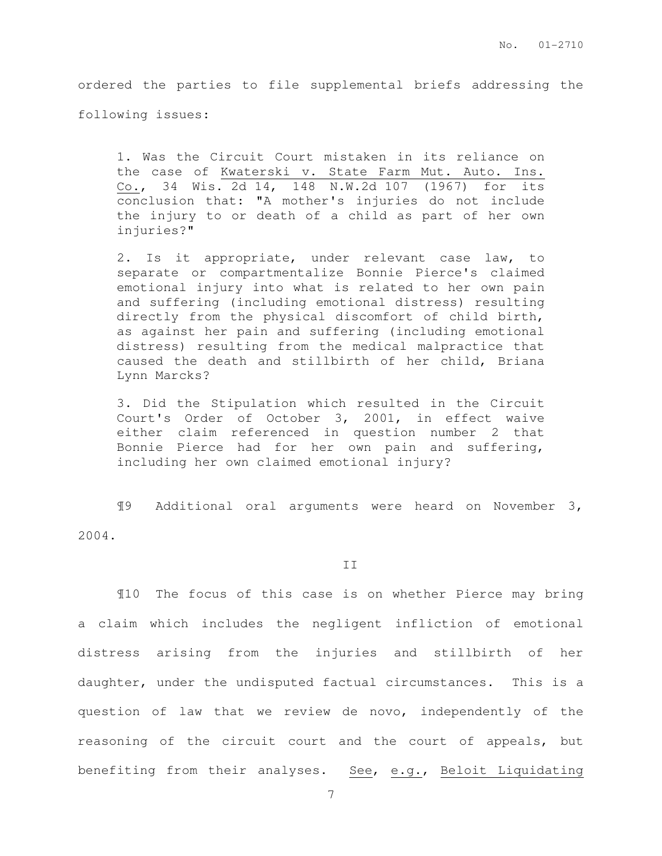ordered the parties to file supplemental briefs addressing the following issues:

1. Was the Circuit Court mistaken in its reliance on the case of Kwaterski v. State Farm Mut. Auto. Ins. Co., 34 Wis. 2d 14, 148 N.W.2d 107 (1967) for its conclusion that: "A mother's injuries do not include the injury to or death of a child as part of her own injuries?"

2. Is it appropriate, under relevant case law, to separate or compartmentalize Bonnie Pierce's claimed emotional injury into what is related to her own pain and suffering (including emotional distress) resulting directly from the physical discomfort of child birth, as against her pain and suffering (including emotional distress) resulting from the medical malpractice that caused the death and stillbirth of her child, Briana Lynn Marcks?

3. Did the Stipulation which resulted in the Circuit Court's Order of October 3, 2001, in effect waive either claim referenced in question number 2 that Bonnie Pierce had for her own pain and suffering, including her own claimed emotional injury?

¶9 Additional oral arguments were heard on November 3, 2004.

#### II

¶10 The focus of this case is on whether Pierce may bring a claim which includes the negligent infliction of emotional distress arising from the injuries and stillbirth of her daughter, under the undisputed factual circumstances. This is a question of law that we review de novo, independently of the reasoning of the circuit court and the court of appeals, but benefiting from their analyses. See, e.g., Beloit Liquidating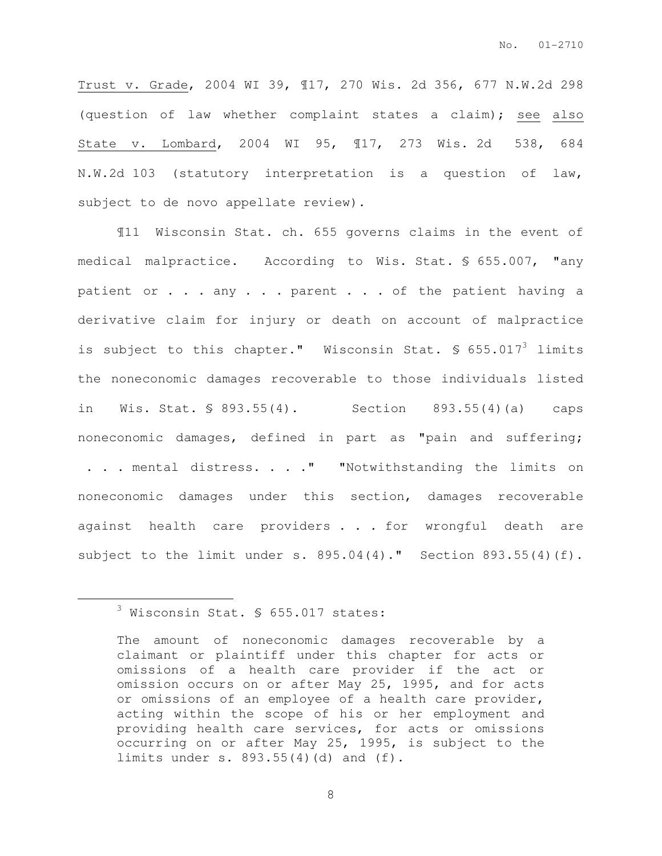Trust v. Grade, 2004 WI 39, ¶17, 270 Wis. 2d 356, 677 N.W.2d 298 (question of law whether complaint states a claim); see also State v. Lombard, 2004 WI 95, ¶17, 273 Wis. 2d 538, 684 N.W.2d 103 (statutory interpretation is a question of law, subject to de novo appellate review).

¶11 Wisconsin Stat. ch. 655 governs claims in the event of medical malpractice. According to Wis. Stat. § 655.007, "any patient or . . . any . . . parent . . . of the patient having a derivative claim for injury or death on account of malpractice is subject to this chapter." Wisconsin Stat.  $\frac{1}{5}$  655.017<sup>3</sup> limits the noneconomic damages recoverable to those individuals listed in Wis. Stat. § 893.55(4). Section 893.55(4)(a) caps noneconomic damages, defined in part as "pain and suffering; . . . mental distress. . . . " "Notwithstanding the limits on noneconomic damages under this section, damages recoverable against health care providers . . . for wrongful death are subject to the limit under s. 895.04(4)." Section 893.55(4)(f).

 $\overline{a}$ 

<sup>3</sup> Wisconsin Stat. § 655.017 states:

The amount of noneconomic damages recoverable by a claimant or plaintiff under this chapter for acts or omissions of a health care provider if the act or omission occurs on or after May 25, 1995, and for acts or omissions of an employee of a health care provider, acting within the scope of his or her employment and providing health care services, for acts or omissions occurring on or after May 25, 1995, is subject to the limits under s. 893.55(4)(d) and (f).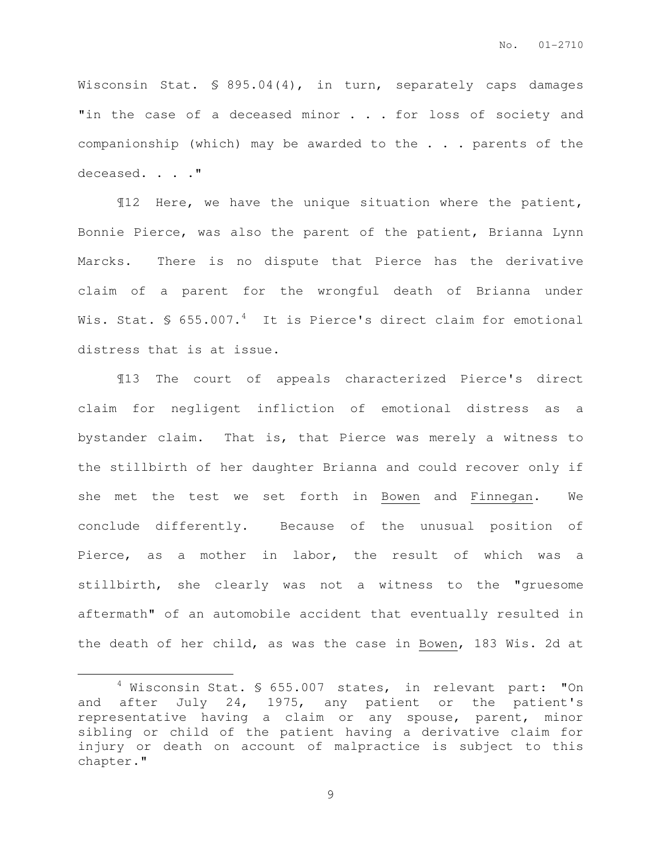Wisconsin Stat. § 895.04(4), in turn, separately caps damages "in the case of a deceased minor . . . for loss of society and companionship (which) may be awarded to the . . . parents of the deceased. . . . "

¶12 Here, we have the unique situation where the patient, Bonnie Pierce, was also the parent of the patient, Brianna Lynn Marcks. There is no dispute that Pierce has the derivative claim of a parent for the wrongful death of Brianna under Wis. Stat. § 655.007. $4$  It is Pierce's direct claim for emotional distress that is at issue.

¶13 The court of appeals characterized Pierce's direct claim for negligent infliction of emotional distress as a bystander claim. That is, that Pierce was merely a witness to the stillbirth of her daughter Brianna and could recover only if she met the test we set forth in Bowen and Finnegan. We conclude differently. Because of the unusual position of Pierce, as a mother in labor, the result of which was a stillbirth, she clearly was not a witness to the "gruesome aftermath" of an automobile accident that eventually resulted in the death of her child, as was the case in Bowen, 183 Wis. 2d at

 $\overline{a}$ 

<sup>&</sup>lt;sup>4</sup> Wisconsin Stat. § 655.007 states, in relevant part: "On and after July 24, 1975, any patient or the patient's representative having a claim or any spouse, parent, minor sibling or child of the patient having a derivative claim for injury or death on account of malpractice is subject to this chapter."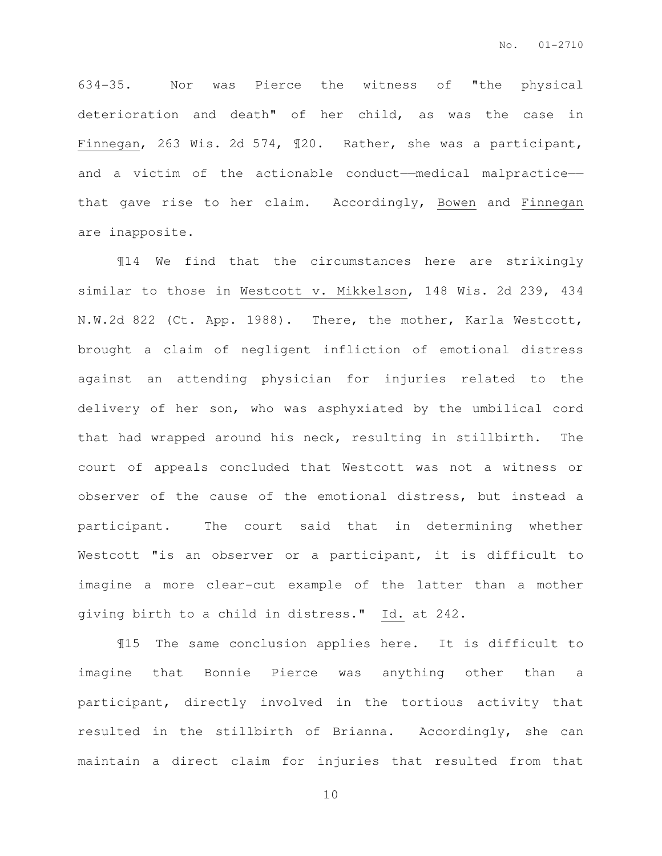634-35. Nor was Pierce the witness of "the physical deterioration and death" of her child, as was the case in Finnegan, 263 Wis. 2d 574, ¶20. Rather, she was a participant, and a victim of the actionable conduct——medical malpractice— that gave rise to her claim. Accordingly, Bowen and Finnegan are inapposite.

¶14 We find that the circumstances here are strikingly similar to those in Westcott v. Mikkelson, 148 Wis. 2d 239, 434 N.W.2d 822 (Ct. App. 1988). There, the mother, Karla Westcott, brought a claim of negligent infliction of emotional distress against an attending physician for injuries related to the delivery of her son, who was asphyxiated by the umbilical cord that had wrapped around his neck, resulting in stillbirth. The court of appeals concluded that Westcott was not a witness or observer of the cause of the emotional distress, but instead a participant. The court said that in determining whether Westcott "is an observer or a participant, it is difficult to imagine a more clear-cut example of the latter than a mother giving birth to a child in distress." Id. at 242.

¶15 The same conclusion applies here. It is difficult to imagine that Bonnie Pierce was anything other than a participant, directly involved in the tortious activity that resulted in the stillbirth of Brianna. Accordingly, she can maintain a direct claim for injuries that resulted from that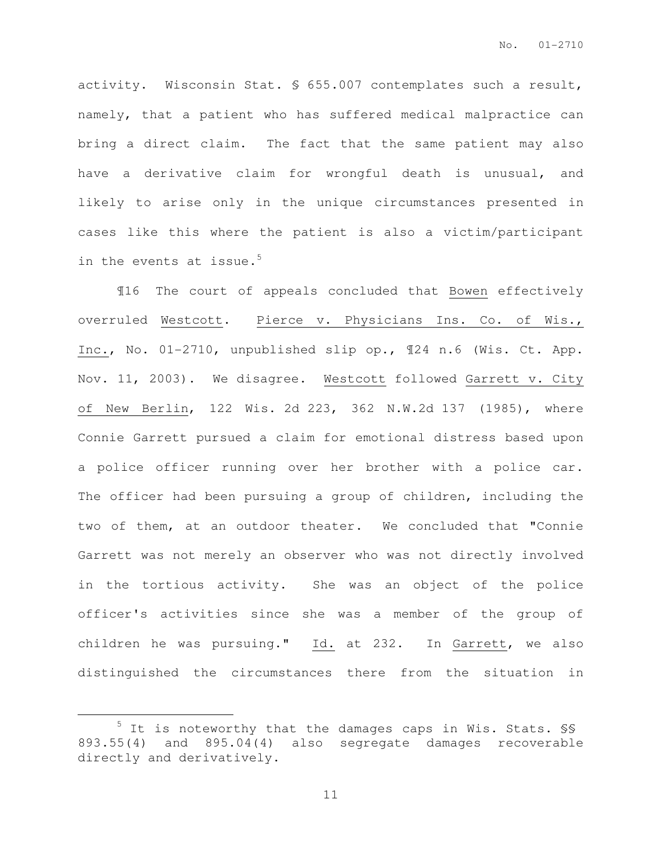activity. Wisconsin Stat. § 655.007 contemplates such a result, namely, that a patient who has suffered medical malpractice can bring a direct claim. The fact that the same patient may also have a derivative claim for wrongful death is unusual, and likely to arise only in the unique circumstances presented in cases like this where the patient is also a victim/participant in the events at issue.<sup>5</sup>

¶16 The court of appeals concluded that Bowen effectively overruled Westcott. Pierce v. Physicians Ins. Co. of Wis., Inc., No. 01-2710, unpublished slip op., ¶24 n.6 (Wis. Ct. App. Nov. 11, 2003). We disagree. Westcott followed Garrett v. City of New Berlin, 122 Wis. 2d 223, 362 N.W.2d 137 (1985), where Connie Garrett pursued a claim for emotional distress based upon a police officer running over her brother with a police car. The officer had been pursuing a group of children, including the two of them, at an outdoor theater. We concluded that "Connie Garrett was not merely an observer who was not directly involved in the tortious activity. She was an object of the police officer's activities since she was a member of the group of children he was pursuing." Id. at 232. In Garrett, we also distinguished the circumstances there from the situation in

 $\overline{a}$ 

<sup>5</sup> It is noteworthy that the damages caps in Wis. Stats. §§ 893.55(4) and 895.04(4) also segregate damages recoverable directly and derivatively.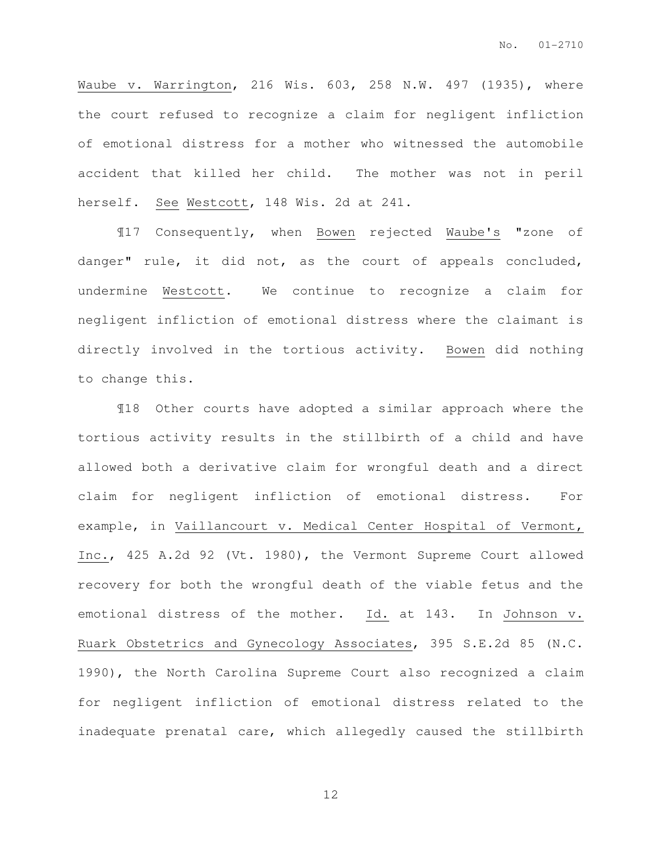Waube v. Warrington, 216 Wis. 603, 258 N.W. 497 (1935), where the court refused to recognize a claim for negligent infliction of emotional distress for a mother who witnessed the automobile accident that killed her child. The mother was not in peril herself. See Westcott, 148 Wis. 2d at 241.

¶17 Consequently, when Bowen rejected Waube's "zone of danger" rule, it did not, as the court of appeals concluded, undermine Westcott. We continue to recognize a claim for negligent infliction of emotional distress where the claimant is directly involved in the tortious activity. Bowen did nothing to change this.

¶18 Other courts have adopted a similar approach where the tortious activity results in the stillbirth of a child and have allowed both a derivative claim for wrongful death and a direct claim for negligent infliction of emotional distress. For example, in Vaillancourt v. Medical Center Hospital of Vermont, Inc., 425 A.2d 92 (Vt. 1980), the Vermont Supreme Court allowed recovery for both the wrongful death of the viable fetus and the emotional distress of the mother. Id. at 143. In Johnson v. Ruark Obstetrics and Gynecology Associates, 395 S.E.2d 85 (N.C. 1990), the North Carolina Supreme Court also recognized a claim for negligent infliction of emotional distress related to the inadequate prenatal care, which allegedly caused the stillbirth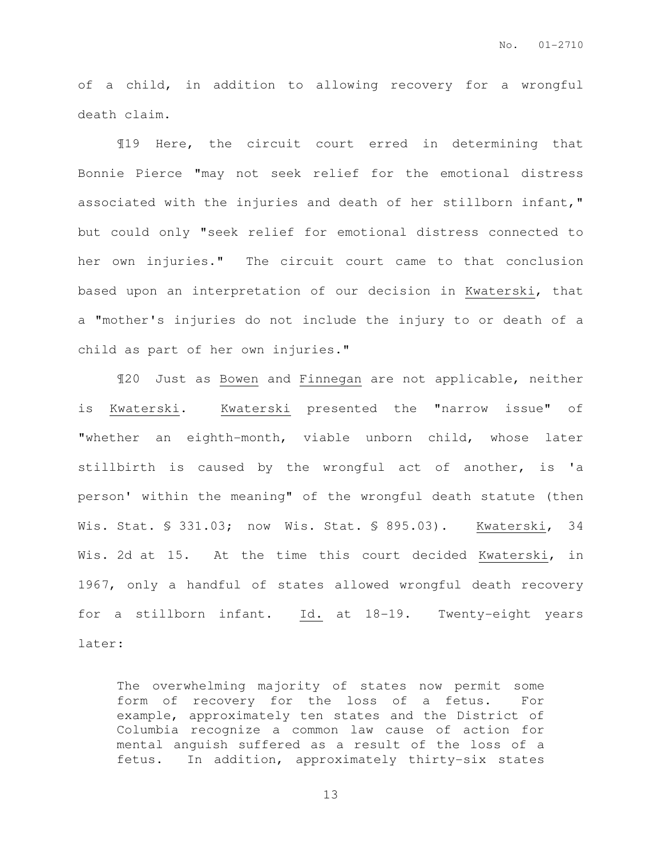of a child, in addition to allowing recovery for a wrongful death claim.

¶19 Here, the circuit court erred in determining that Bonnie Pierce "may not seek relief for the emotional distress associated with the injuries and death of her stillborn infant," but could only "seek relief for emotional distress connected to her own injuries." The circuit court came to that conclusion based upon an interpretation of our decision in Kwaterski, that a "mother's injuries do not include the injury to or death of a child as part of her own injuries."

¶20 Just as Bowen and Finnegan are not applicable, neither is Kwaterski. Kwaterski presented the "narrow issue" of "whether an eighth-month, viable unborn child, whose later stillbirth is caused by the wrongful act of another, is 'a person' within the meaning" of the wrongful death statute (then Wis. Stat. § 331.03; now Wis. Stat. § 895.03). Kwaterski, 34 Wis. 2d at 15. At the time this court decided Kwaterski, in 1967, only a handful of states allowed wrongful death recovery for a stillborn infant. Id. at 18-19. Twenty-eight years later:

The overwhelming majority of states now permit some form of recovery for the loss of a fetus. For example, approximately ten states and the District of Columbia recognize a common law cause of action for mental anguish suffered as a result of the loss of a fetus. In addition, approximately thirty-six states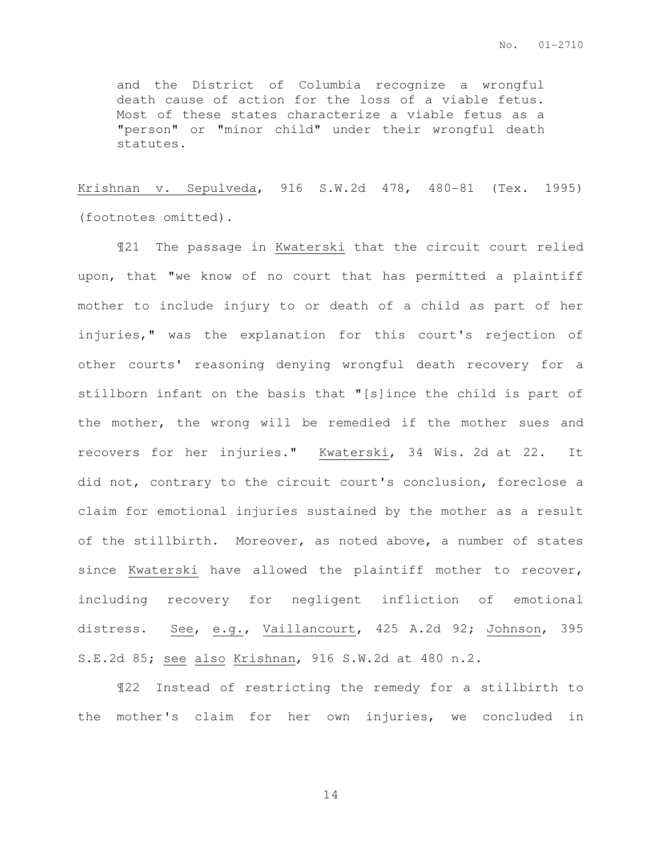and the District of Columbia recognize a wrongful death cause of action for the loss of a viable fetus. Most of these states characterize a viable fetus as a "person" or "minor child" under their wrongful death statutes.

Krishnan v. Sepulveda, 916 S.W.2d 478, 480-81 (Tex. 1995) (footnotes omitted).

¶21 The passage in Kwaterski that the circuit court relied upon, that "we know of no court that has permitted a plaintiff mother to include injury to or death of a child as part of her injuries," was the explanation for this court's rejection of other courts' reasoning denying wrongful death recovery for a stillborn infant on the basis that "[s]ince the child is part of the mother, the wrong will be remedied if the mother sues and recovers for her injuries." Kwaterski, 34 Wis. 2d at 22. It did not, contrary to the circuit court's conclusion, foreclose a claim for emotional injuries sustained by the mother as a result of the stillbirth. Moreover, as noted above, a number of states since Kwaterski have allowed the plaintiff mother to recover, including recovery for negligent infliction of emotional distress. See, e.g., Vaillancourt, 425 A.2d 92; Johnson, 395 S.E.2d 85; see also Krishnan, 916 S.W.2d at 480 n.2.

¶22 Instead of restricting the remedy for a stillbirth to the mother's claim for her own injuries, we concluded in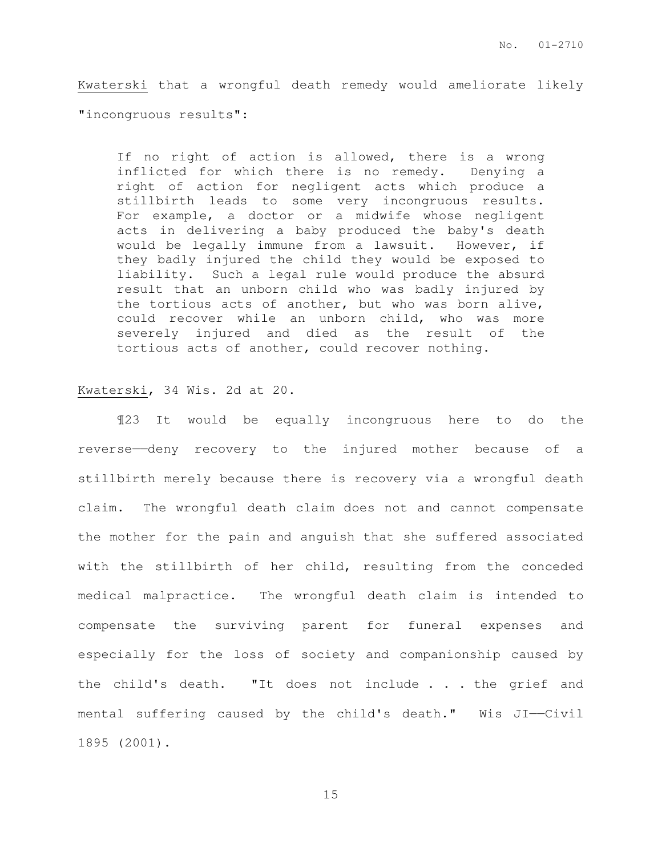Kwaterski that a wrongful death remedy would ameliorate likely "incongruous results":

If no right of action is allowed, there is a wrong inflicted for which there is no remedy. Denying a right of action for negligent acts which produce a stillbirth leads to some very incongruous results. For example, a doctor or a midwife whose negligent acts in delivering a baby produced the baby's death would be legally immune from a lawsuit. However, if they badly injured the child they would be exposed to liability. Such a legal rule would produce the absurd result that an unborn child who was badly injured by the tortious acts of another, but who was born alive, could recover while an unborn child, who was more severely injured and died as the result of the tortious acts of another, could recover nothing.

#### Kwaterski, 34 Wis. 2d at 20.

¶23 It would be equally incongruous here to do the reverse—deny recovery to the injured mother because of a stillbirth merely because there is recovery via a wrongful death claim. The wrongful death claim does not and cannot compensate the mother for the pain and anguish that she suffered associated with the stillbirth of her child, resulting from the conceded medical malpractice. The wrongful death claim is intended to compensate the surviving parent for funeral expenses and especially for the loss of society and companionship caused by the child's death. "It does not include . . . the grief and mental suffering caused by the child's death." Wis JI——Civil 1895 (2001).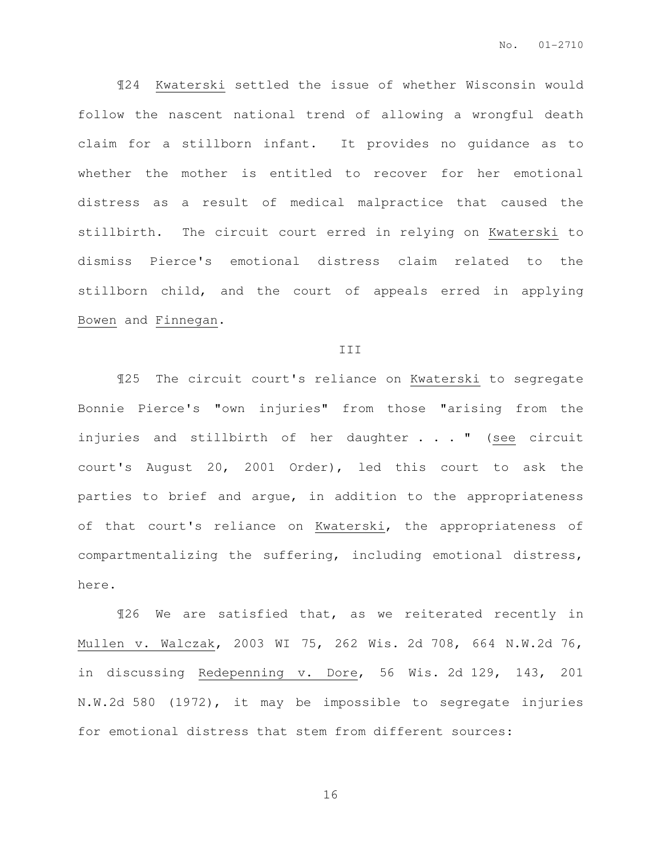¶24 Kwaterski settled the issue of whether Wisconsin would follow the nascent national trend of allowing a wrongful death claim for a stillborn infant. It provides no guidance as to whether the mother is entitled to recover for her emotional distress as a result of medical malpractice that caused the stillbirth. The circuit court erred in relying on Kwaterski to dismiss Pierce's emotional distress claim related to the stillborn child, and the court of appeals erred in applying Bowen and Finnegan.

#### III

¶25 The circuit court's reliance on Kwaterski to segregate Bonnie Pierce's "own injuries" from those "arising from the injuries and stillbirth of her daughter . . . " (see circuit court's August 20, 2001 Order), led this court to ask the parties to brief and argue, in addition to the appropriateness of that court's reliance on Kwaterski, the appropriateness of compartmentalizing the suffering, including emotional distress, here.

¶26 We are satisfied that, as we reiterated recently in Mullen v. Walczak, 2003 WI 75, 262 Wis. 2d 708, 664 N.W.2d 76, in discussing Redepenning v. Dore, 56 Wis. 2d 129, 143, 201 N.W.2d 580 (1972), it may be impossible to segregate injuries for emotional distress that stem from different sources: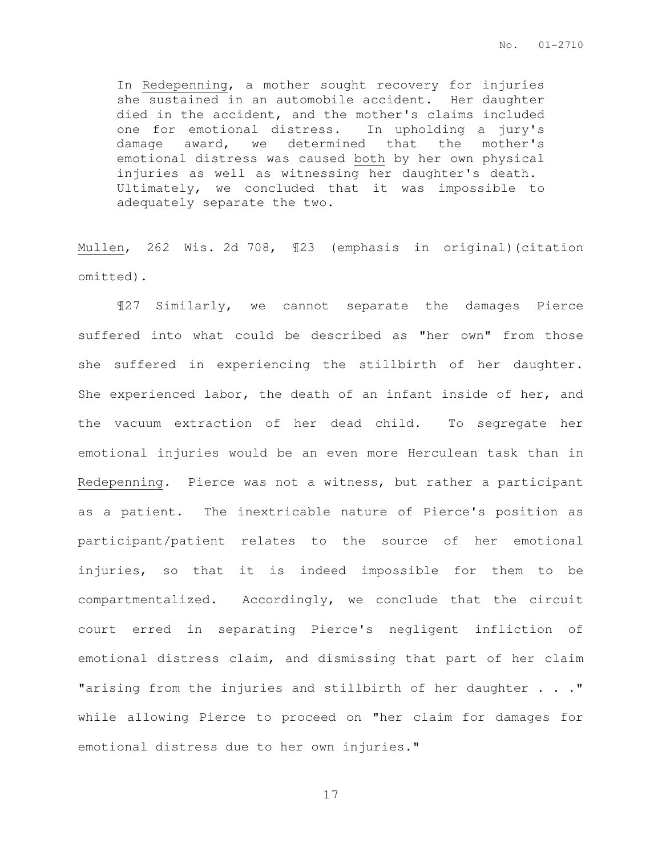In Redepenning, a mother sought recovery for injuries she sustained in an automobile accident. Her daughter died in the accident, and the mother's claims included one for emotional distress. In upholding a jury's damage award, we determined that the mother's emotional distress was caused both by her own physical injuries as well as witnessing her daughter's death. Ultimately, we concluded that it was impossible to adequately separate the two.

Mullen, 262 Wis. 2d 708, ¶23 (emphasis in original)(citation omitted).

¶27 Similarly, we cannot separate the damages Pierce suffered into what could be described as "her own" from those she suffered in experiencing the stillbirth of her daughter. She experienced labor, the death of an infant inside of her, and the vacuum extraction of her dead child. To segregate her emotional injuries would be an even more Herculean task than in Redepenning. Pierce was not a witness, but rather a participant as a patient. The inextricable nature of Pierce's position as participant/patient relates to the source of her emotional injuries, so that it is indeed impossible for them to be compartmentalized. Accordingly, we conclude that the circuit court erred in separating Pierce's negligent infliction of emotional distress claim, and dismissing that part of her claim "arising from the injuries and stillbirth of her daughter . . ." while allowing Pierce to proceed on "her claim for damages for emotional distress due to her own injuries."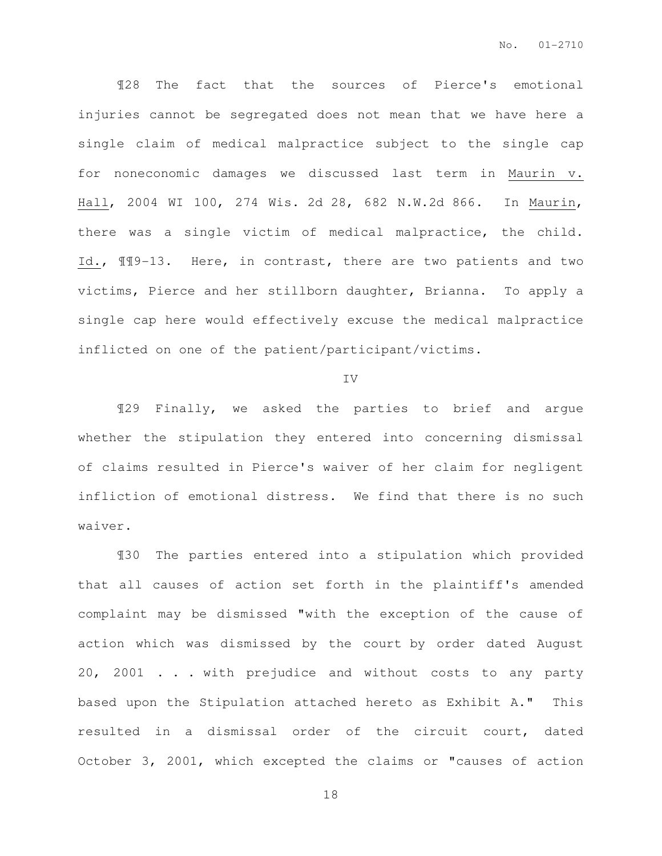¶28 The fact that the sources of Pierce's emotional injuries cannot be segregated does not mean that we have here a single claim of medical malpractice subject to the single cap for noneconomic damages we discussed last term in Maurin v. Hall, 2004 WI 100, 274 Wis. 2d 28, 682 N.W.2d 866. In Maurin, there was a single victim of medical malpractice, the child. Id., ¶¶9-13. Here, in contrast, there are two patients and two victims, Pierce and her stillborn daughter, Brianna. To apply a single cap here would effectively excuse the medical malpractice inflicted on one of the patient/participant/victims.

#### IV

¶29 Finally, we asked the parties to brief and argue whether the stipulation they entered into concerning dismissal of claims resulted in Pierce's waiver of her claim for negligent infliction of emotional distress. We find that there is no such waiver.

¶30 The parties entered into a stipulation which provided that all causes of action set forth in the plaintiff's amended complaint may be dismissed "with the exception of the cause of action which was dismissed by the court by order dated August 20, 2001 . . . with prejudice and without costs to any party based upon the Stipulation attached hereto as Exhibit A." This resulted in a dismissal order of the circuit court, dated October 3, 2001, which excepted the claims or "causes of action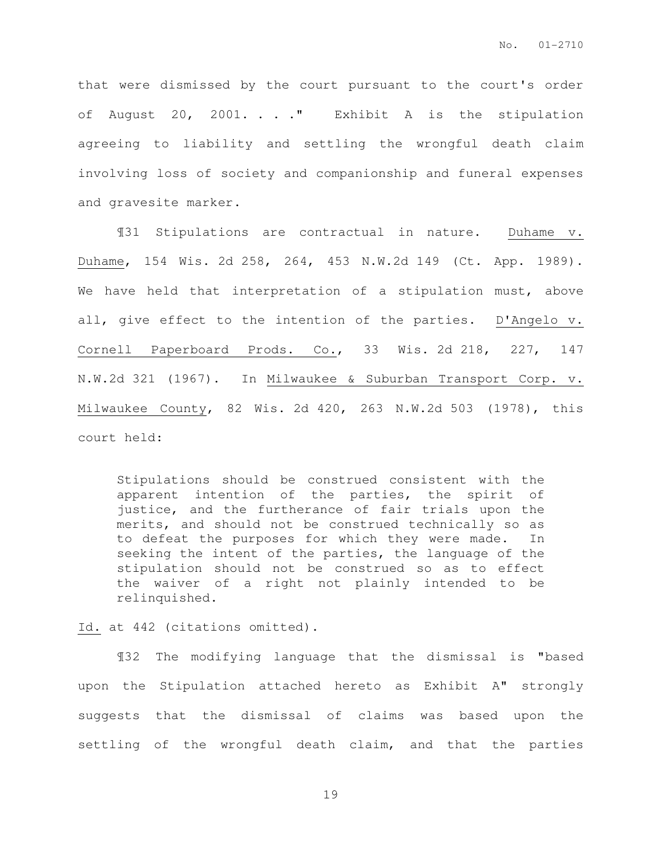that were dismissed by the court pursuant to the court's order of August 20, 2001. . . ." Exhibit A is the stipulation agreeing to liability and settling the wrongful death claim involving loss of society and companionship and funeral expenses and gravesite marker.

¶31 Stipulations are contractual in nature. Duhame v. Duhame, 154 Wis. 2d 258, 264, 453 N.W.2d 149 (Ct. App. 1989). We have held that interpretation of a stipulation must, above all, give effect to the intention of the parties. D'Angelo v. Cornell Paperboard Prods. Co., 33 Wis. 2d 218, 227, 147 N.W.2d 321 (1967). In Milwaukee & Suburban Transport Corp. v. Milwaukee County, 82 Wis. 2d 420, 263 N.W.2d 503 (1978), this court held:

Stipulations should be construed consistent with the apparent intention of the parties, the spirit of justice, and the furtherance of fair trials upon the merits, and should not be construed technically so as to defeat the purposes for which they were made. In seeking the intent of the parties, the language of the stipulation should not be construed so as to effect the waiver of a right not plainly intended to be relinquished.

Id. at 442 (citations omitted).

¶32 The modifying language that the dismissal is "based upon the Stipulation attached hereto as Exhibit A" strongly suggests that the dismissal of claims was based upon the settling of the wrongful death claim, and that the parties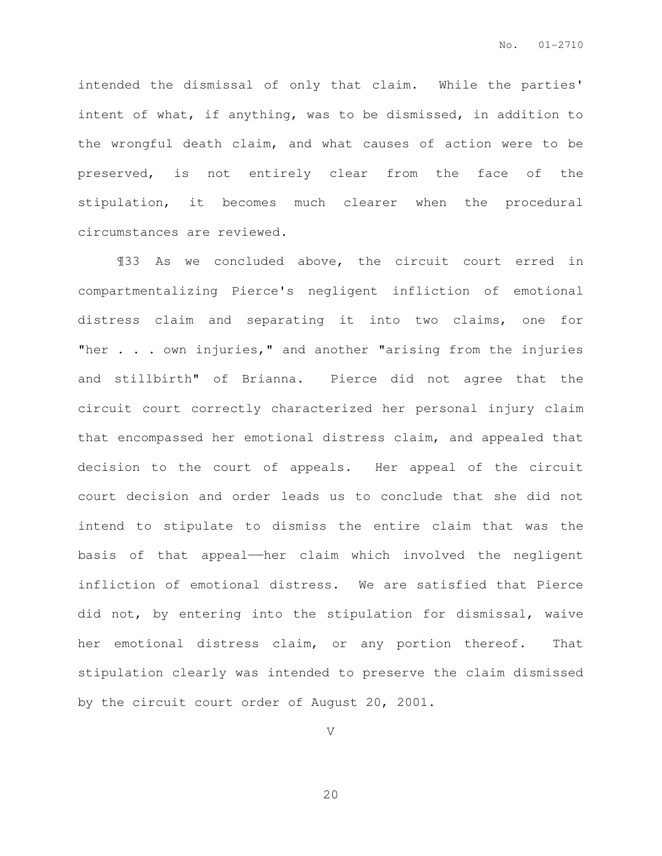intended the dismissal of only that claim. While the parties' intent of what, if anything, was to be dismissed, in addition to the wrongful death claim, and what causes of action were to be preserved, is not entirely clear from the face of the stipulation, it becomes much clearer when the procedural circumstances are reviewed.

¶33 As we concluded above, the circuit court erred in compartmentalizing Pierce's negligent infliction of emotional distress claim and separating it into two claims, one for "her . . . own injuries," and another "arising from the injuries and stillbirth" of Brianna. Pierce did not agree that the circuit court correctly characterized her personal injury claim that encompassed her emotional distress claim, and appealed that decision to the court of appeals. Her appeal of the circuit court decision and order leads us to conclude that she did not intend to stipulate to dismiss the entire claim that was the basis of that appeal——her claim which involved the negligent infliction of emotional distress. We are satisfied that Pierce did not, by entering into the stipulation for dismissal, waive her emotional distress claim, or any portion thereof. That stipulation clearly was intended to preserve the claim dismissed by the circuit court order of August 20, 2001.

V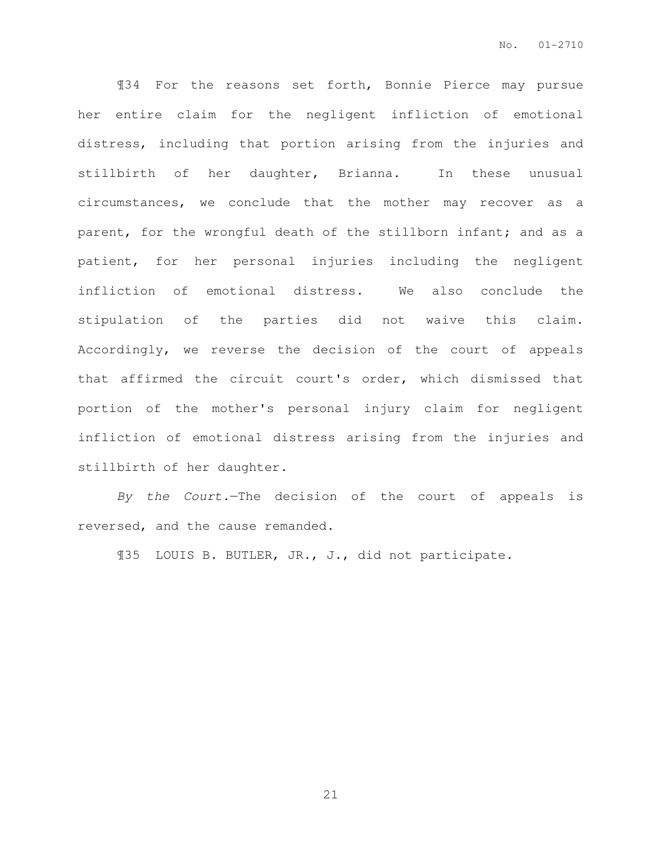¶34 For the reasons set forth, Bonnie Pierce may pursue her entire claim for the negligent infliction of emotional distress, including that portion arising from the injuries and stillbirth of her daughter, Brianna. In these unusual circumstances, we conclude that the mother may recover as a parent, for the wrongful death of the stillborn infant; and as a patient, for her personal injuries including the negligent infliction of emotional distress. We also conclude the stipulation of the parties did not waive this claim. Accordingly, we reverse the decision of the court of appeals that affirmed the circuit court's order, which dismissed that portion of the mother's personal injury claim for negligent infliction of emotional distress arising from the injuries and stillbirth of her daughter.

By the Court.—The decision of the court of appeals is reversed, and the cause remanded.

¶35 LOUIS B. BUTLER, JR., J., did not participate.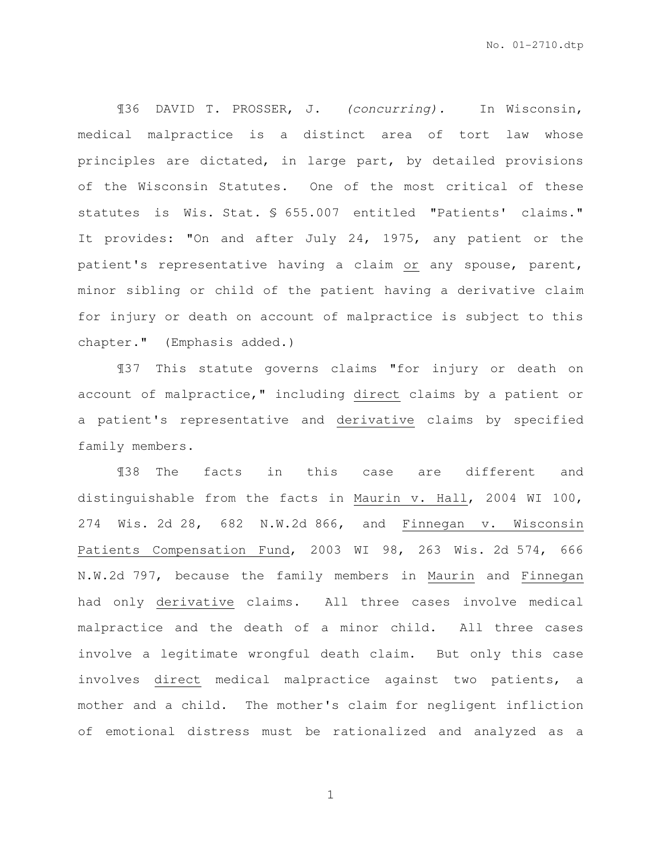¶36 DAVID T. PROSSER, J. (concurring). In Wisconsin, medical malpractice is a distinct area of tort law whose principles are dictated, in large part, by detailed provisions of the Wisconsin Statutes. One of the most critical of these statutes is Wis. Stat. § 655.007 entitled "Patients' claims." It provides: "On and after July 24, 1975, any patient or the patient's representative having a claim or any spouse, parent, minor sibling or child of the patient having a derivative claim for injury or death on account of malpractice is subject to this chapter." (Emphasis added.)

¶37 This statute governs claims "for injury or death on account of malpractice," including direct claims by a patient or a patient's representative and derivative claims by specified family members.

¶38 The facts in this case are different and distinguishable from the facts in Maurin v. Hall, 2004 WI 100, 274 Wis. 2d 28, 682 N.W.2d 866, and Finnegan v. Wisconsin Patients Compensation Fund, 2003 WI 98, 263 Wis. 2d 574, 666 N.W.2d 797, because the family members in Maurin and Finnegan had only derivative claims. All three cases involve medical malpractice and the death of a minor child. All three cases involve a legitimate wrongful death claim. But only this case involves direct medical malpractice against two patients, a mother and a child. The mother's claim for negligent infliction of emotional distress must be rationalized and analyzed as a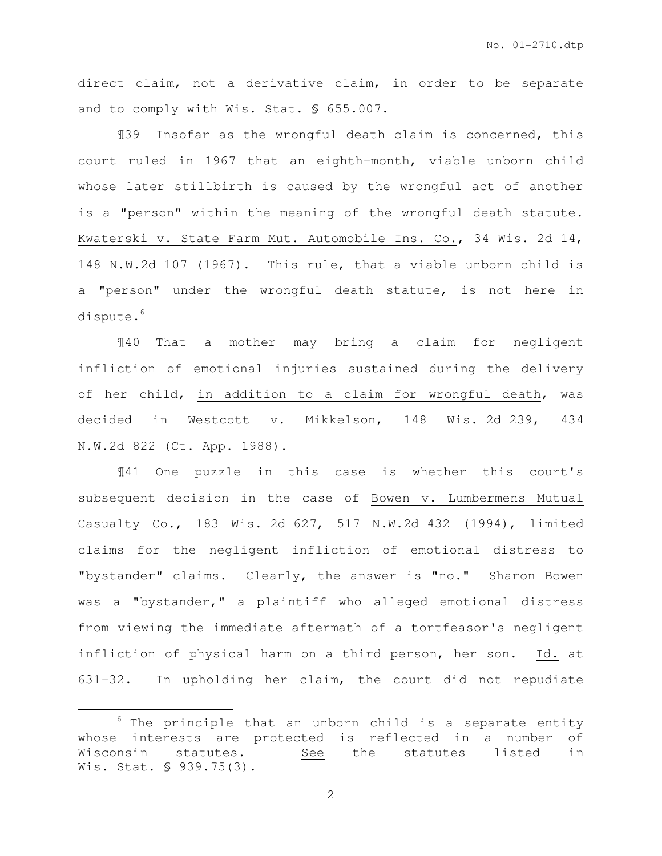direct claim, not a derivative claim, in order to be separate and to comply with Wis. Stat. § 655.007.

¶39 Insofar as the wrongful death claim is concerned, this court ruled in 1967 that an eighth-month, viable unborn child whose later stillbirth is caused by the wrongful act of another is a "person" within the meaning of the wrongful death statute. Kwaterski v. State Farm Mut. Automobile Ins. Co., 34 Wis. 2d 14, 148 N.W.2d 107 (1967). This rule, that a viable unborn child is a "person" under the wrongful death statute, is not here in dispute.<sup>6</sup>

¶40 That a mother may bring a claim for negligent infliction of emotional injuries sustained during the delivery of her child, in addition to a claim for wrongful death, was decided in Westcott v. Mikkelson, 148 Wis. 2d 239, 434 N.W.2d 822 (Ct. App. 1988).

¶41 One puzzle in this case is whether this court's subsequent decision in the case of Bowen v. Lumbermens Mutual Casualty Co., 183 Wis. 2d 627, 517 N.W.2d 432 (1994), limited claims for the negligent infliction of emotional distress to "bystander" claims. Clearly, the answer is "no." Sharon Bowen was a "bystander," a plaintiff who alleged emotional distress from viewing the immediate aftermath of a tortfeasor's negligent infliction of physical harm on a third person, her son. Id. at 631-32. In upholding her claim, the court did not repudiate

 $\overline{a}$ 

 $6$  The principle that an unborn child is a separate entity whose interests are protected is reflected in a number of Wisconsin statutes. See the statutes listed in Wis. Stat. § 939.75(3).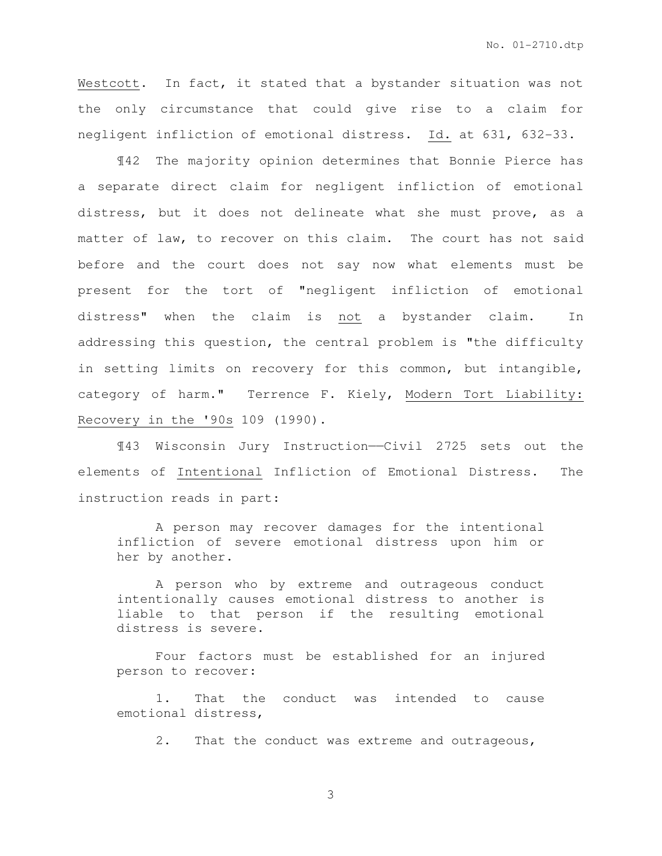Westcott. In fact, it stated that a bystander situation was not the only circumstance that could give rise to a claim for negligent infliction of emotional distress. Id. at 631, 632-33.

¶42 The majority opinion determines that Bonnie Pierce has a separate direct claim for negligent infliction of emotional distress, but it does not delineate what she must prove, as a matter of law, to recover on this claim. The court has not said before and the court does not say now what elements must be present for the tort of "negligent infliction of emotional distress" when the claim is not a bystander claim. In addressing this question, the central problem is "the difficulty in setting limits on recovery for this common, but intangible, category of harm." Terrence F. Kiely, Modern Tort Liability: Recovery in the '90s 109 (1990).

¶43 Wisconsin Jury Instruction——Civil 2725 sets out the elements of Intentional Infliction of Emotional Distress. The instruction reads in part:

 A person may recover damages for the intentional infliction of severe emotional distress upon him or her by another.

 A person who by extreme and outrageous conduct intentionally causes emotional distress to another is liable to that person if the resulting emotional distress is severe.

 Four factors must be established for an injured person to recover:

 1. That the conduct was intended to cause emotional distress,

2. That the conduct was extreme and outrageous,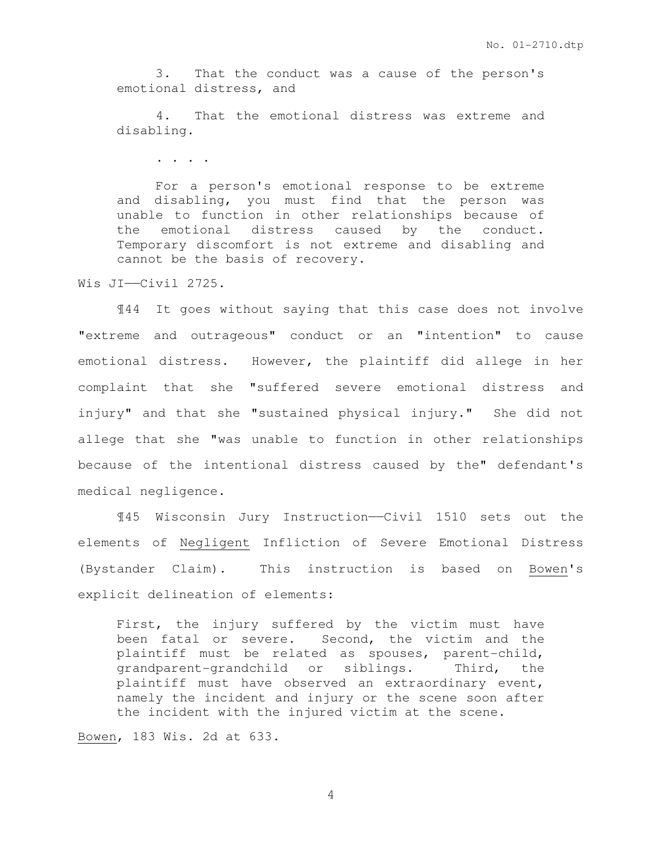3. That the conduct was a cause of the person's emotional distress, and

 4. That the emotional distress was extreme and disabling.

. . . .

 For a person's emotional response to be extreme and disabling, you must find that the person was unable to function in other relationships because of the emotional distress caused by the conduct. Temporary discomfort is not extreme and disabling and cannot be the basis of recovery.

Wis JI——Civil 2725.

 ¶44 It goes without saying that this case does not involve "extreme and outrageous" conduct or an "intention" to cause emotional distress. However, the plaintiff did allege in her complaint that she "suffered severe emotional distress and injury" and that she "sustained physical injury." She did not allege that she "was unable to function in other relationships because of the intentional distress caused by the" defendant's medical negligence.

 ¶45 Wisconsin Jury Instruction——Civil 1510 sets out the elements of Negligent Infliction of Severe Emotional Distress (Bystander Claim). This instruction is based on Bowen's explicit delineation of elements:

First, the injury suffered by the victim must have been fatal or severe. Second, the victim and the plaintiff must be related as spouses, parent-child, grandparent-grandchild or siblings. Third, the plaintiff must have observed an extraordinary event, namely the incident and injury or the scene soon after the incident with the injured victim at the scene.

Bowen, 183 Wis. 2d at 633.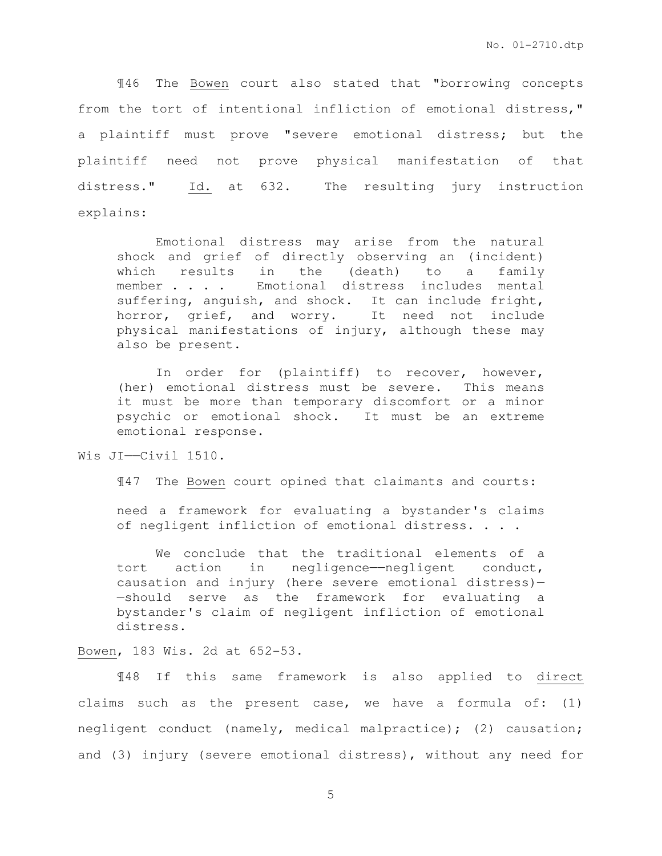¶46 The Bowen court also stated that "borrowing concepts from the tort of intentional infliction of emotional distress," a plaintiff must prove "severe emotional distress; but the plaintiff need not prove physical manifestation of that distress." Id. at 632. The resulting jury instruction explains:

Emotional distress may arise from the natural shock and grief of directly observing an (incident) which results in the (death) to a family member . . . . Emotional distress includes mental suffering, anguish, and shock. It can include fright, horror, grief, and worry. It need not include physical manifestations of injury, although these may also be present.

In order for (plaintiff) to recover, however, (her) emotional distress must be severe. This means it must be more than temporary discomfort or a minor psychic or emotional shock. It must be an extreme emotional response.

Wis JI——Civil 1510.

¶47 The Bowen court opined that claimants and courts:

need a framework for evaluating a bystander's claims of negligent infliction of emotional distress. . . .

We conclude that the traditional elements of a tort action in negligence——negligent conduct, causation and injury (here severe emotional distress)— —should serve as the framework for evaluating a bystander's claim of negligent infliction of emotional distress.

#### Bowen, 183 Wis. 2d at 652-53.

 ¶48 If this same framework is also applied to direct claims such as the present case, we have a formula of: (1) negligent conduct (namely, medical malpractice); (2) causation; and (3) injury (severe emotional distress), without any need for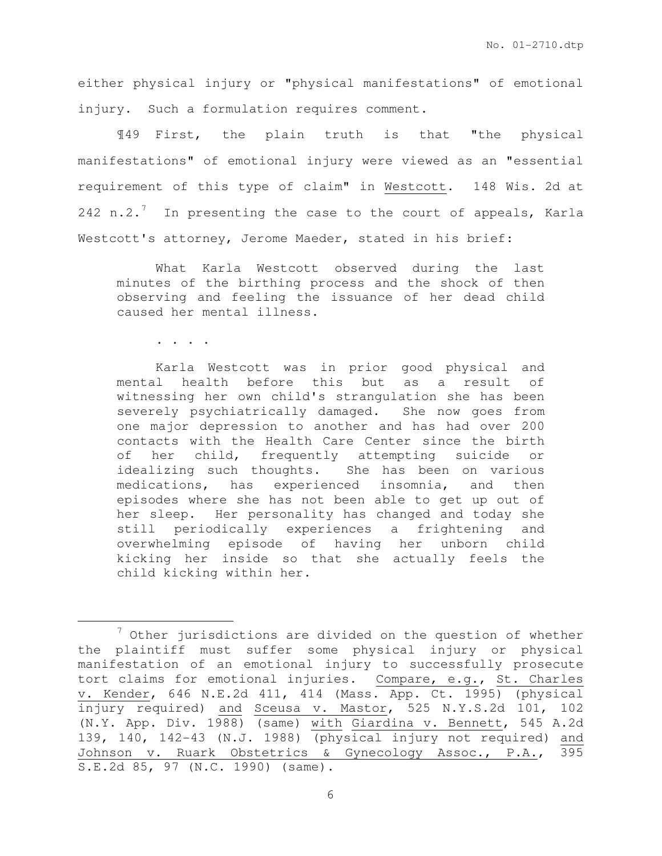either physical injury or "physical manifestations" of emotional injury. Such a formulation requires comment.

¶49 First, the plain truth is that "the physical manifestations" of emotional injury were viewed as an "essential requirement of this type of claim" in Westcott. 148 Wis. 2d at 242 n.2.<sup>7</sup> In presenting the case to the court of appeals, Karla Westcott's attorney, Jerome Maeder, stated in his brief:

 What Karla Westcott observed during the last minutes of the birthing process and the shock of then observing and feeling the issuance of her dead child caused her mental illness.

. . . .

 $\overline{a}$ 

 Karla Westcott was in prior good physical and mental health before this but as a result of witnessing her own child's strangulation she has been severely psychiatrically damaged. She now goes from one major depression to another and has had over 200 contacts with the Health Care Center since the birth of her child, frequently attempting suicide or idealizing such thoughts. She has been on various medications, has experienced insomnia, and then episodes where she has not been able to get up out of her sleep. Her personality has changed and today she still periodically experiences a frightening and overwhelming episode of having her unborn child kicking her inside so that she actually feels the child kicking within her.

<sup>7</sup> Other jurisdictions are divided on the question of whether the plaintiff must suffer some physical injury or physical manifestation of an emotional injury to successfully prosecute tort claims for emotional injuries. Compare, e.g., St. Charles v. Kender, 646 N.E.2d 411, 414 (Mass. App. Ct. 1995) (physical injury required) and Sceusa v. Mastor, 525 N.Y.S.2d 101, 102 (N.Y. App. Div. 1988) (same) with Giardina v. Bennett, 545 A.2d 139, 140, 142-43 (N.J. 1988) (physical injury not required) and Johnson v. Ruark Obstetrics & Gynecology Assoc., P.A., 395 S.E.2d 85, 97 (N.C. 1990) (same).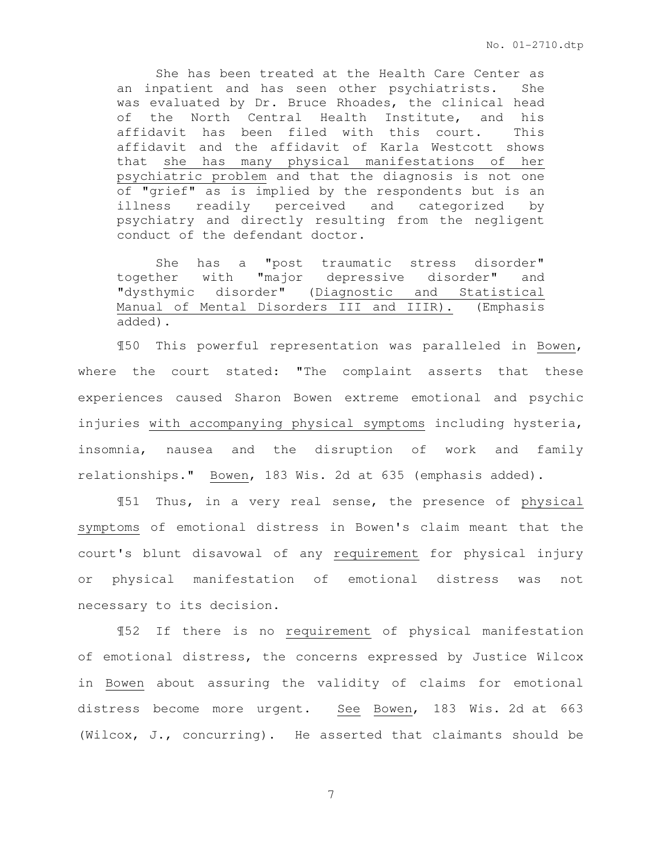She has been treated at the Health Care Center as an inpatient and has seen other psychiatrists. She was evaluated by Dr. Bruce Rhoades, the clinical head of the North Central Health Institute, and his affidavit has been filed with this court. This affidavit and the affidavit of Karla Westcott shows that she has many physical manifestations of her psychiatric problem and that the diagnosis is not one of "grief" as is implied by the respondents but is an illness readily perceived and categorized by psychiatry and directly resulting from the negligent conduct of the defendant doctor.

 She has a "post traumatic stress disorder" together with "major depressive disorder" and "dysthymic disorder" (Diagnostic and Statistical Manual of Mental Disorders III and IIIR). (Emphasis added).

 ¶50 This powerful representation was paralleled in Bowen, where the court stated: "The complaint asserts that these experiences caused Sharon Bowen extreme emotional and psychic injuries with accompanying physical symptoms including hysteria, insomnia, nausea and the disruption of work and family relationships." Bowen, 183 Wis. 2d at 635 (emphasis added).

¶51 Thus, in a very real sense, the presence of physical symptoms of emotional distress in Bowen's claim meant that the court's blunt disavowal of any requirement for physical injury or physical manifestation of emotional distress was not necessary to its decision.

¶52 If there is no requirement of physical manifestation of emotional distress, the concerns expressed by Justice Wilcox in Bowen about assuring the validity of claims for emotional distress become more urgent. See Bowen, 183 Wis. 2d at 663 (Wilcox, J., concurring). He asserted that claimants should be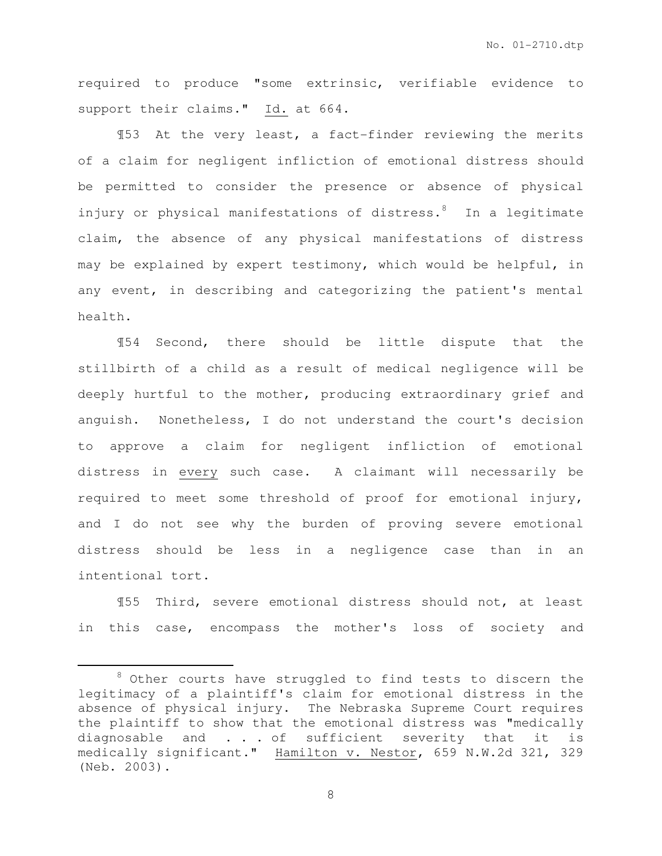required to produce "some extrinsic, verifiable evidence to support their claims." Id. at 664.

¶53 At the very least, a fact-finder reviewing the merits of a claim for negligent infliction of emotional distress should be permitted to consider the presence or absence of physical injury or physical manifestations of distress.<sup>8</sup> In a legitimate claim, the absence of any physical manifestations of distress may be explained by expert testimony, which would be helpful, in any event, in describing and categorizing the patient's mental health.

¶54 Second, there should be little dispute that the stillbirth of a child as a result of medical negligence will be deeply hurtful to the mother, producing extraordinary grief and anguish. Nonetheless, I do not understand the court's decision to approve a claim for negligent infliction of emotional distress in every such case. A claimant will necessarily be required to meet some threshold of proof for emotional injury, and I do not see why the burden of proving severe emotional distress should be less in a negligence case than in an intentional tort.

¶55 Third, severe emotional distress should not, at least in this case, encompass the mother's loss of society and

 $\overline{a}$ 

 $8$  Other courts have struggled to find tests to discern the legitimacy of a plaintiff's claim for emotional distress in the absence of physical injury. The Nebraska Supreme Court requires the plaintiff to show that the emotional distress was "medically diagnosable and . . . of sufficient severity that it is medically significant." Hamilton v. Nestor, 659 N.W.2d 321, 329 (Neb. 2003).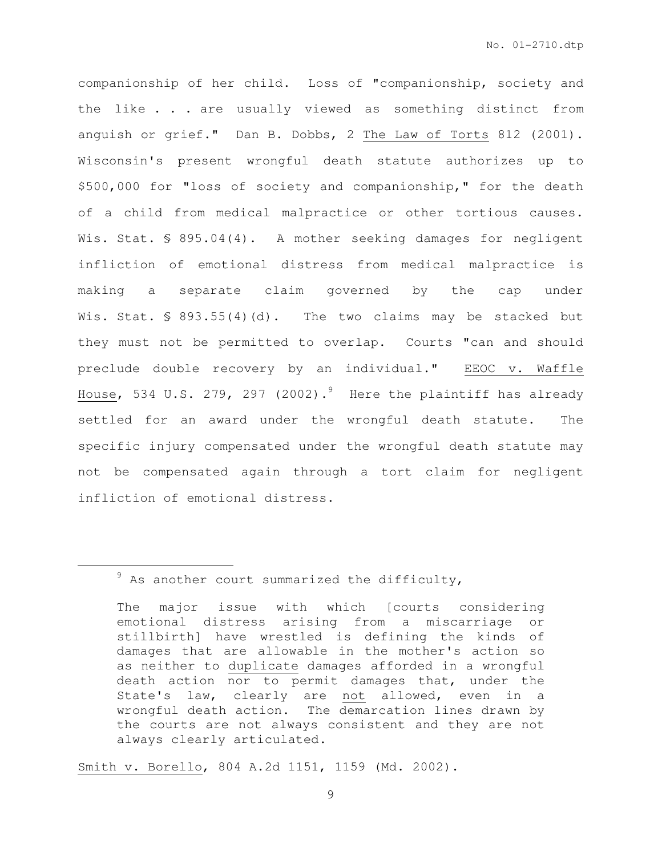companionship of her child. Loss of "companionship, society and the like . . . are usually viewed as something distinct from anguish or grief." Dan B. Dobbs, 2 The Law of Torts 812 (2001). Wisconsin's present wrongful death statute authorizes up to \$500,000 for "loss of society and companionship," for the death of a child from medical malpractice or other tortious causes. Wis. Stat. § 895.04(4). A mother seeking damages for negligent infliction of emotional distress from medical malpractice is making a separate claim governed by the cap under Wis. Stat.  $\frac{1}{5}$  893.55(4)(d). The two claims may be stacked but they must not be permitted to overlap. Courts "can and should preclude double recovery by an individual." EEOC v. Waffle House, 534 U.S. 279, 297 (2002).<sup>9</sup> Here the plaintiff has already settled for an award under the wrongful death statute. The specific injury compensated under the wrongful death statute may not be compensated again through a tort claim for negligent infliction of emotional distress.

 $\overline{a}$ 

Smith v. Borello, 804 A.2d 1151, 1159 (Md. 2002).

 $9$  As another court summarized the difficulty,

The major issue with which [courts considering emotional distress arising from a miscarriage or stillbirth] have wrestled is defining the kinds of damages that are allowable in the mother's action so as neither to duplicate damages afforded in a wrongful death action nor to permit damages that, under the State's law, clearly are not allowed, even in a wrongful death action. The demarcation lines drawn by the courts are not always consistent and they are not always clearly articulated.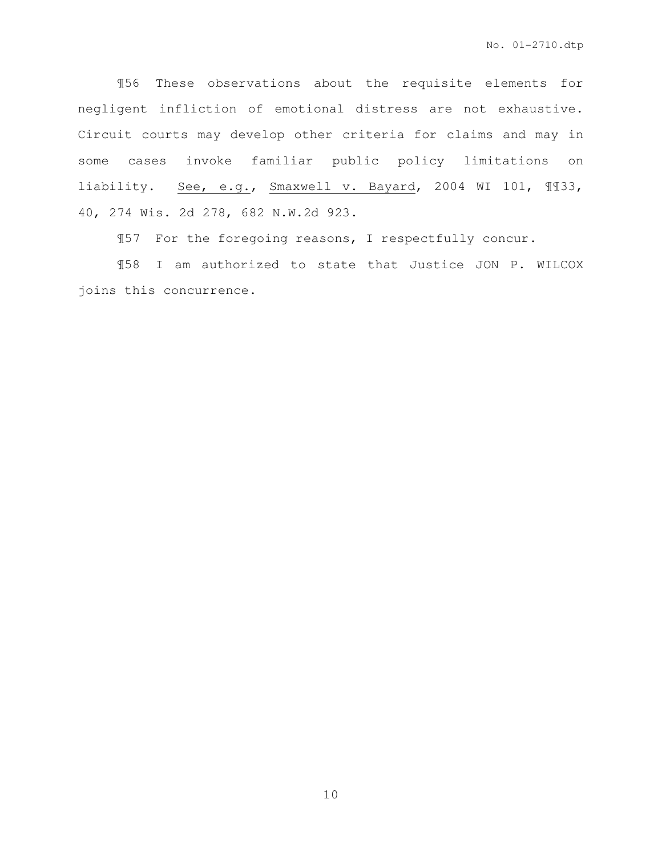¶56 These observations about the requisite elements for negligent infliction of emotional distress are not exhaustive. Circuit courts may develop other criteria for claims and may in some cases invoke familiar public policy limitations on liability. See, e.g., Smaxwell v. Bayard, 2004 WI 101, ¶¶33, 40, 274 Wis. 2d 278, 682 N.W.2d 923.

¶57 For the foregoing reasons, I respectfully concur.

¶58 I am authorized to state that Justice JON P. WILCOX joins this concurrence.